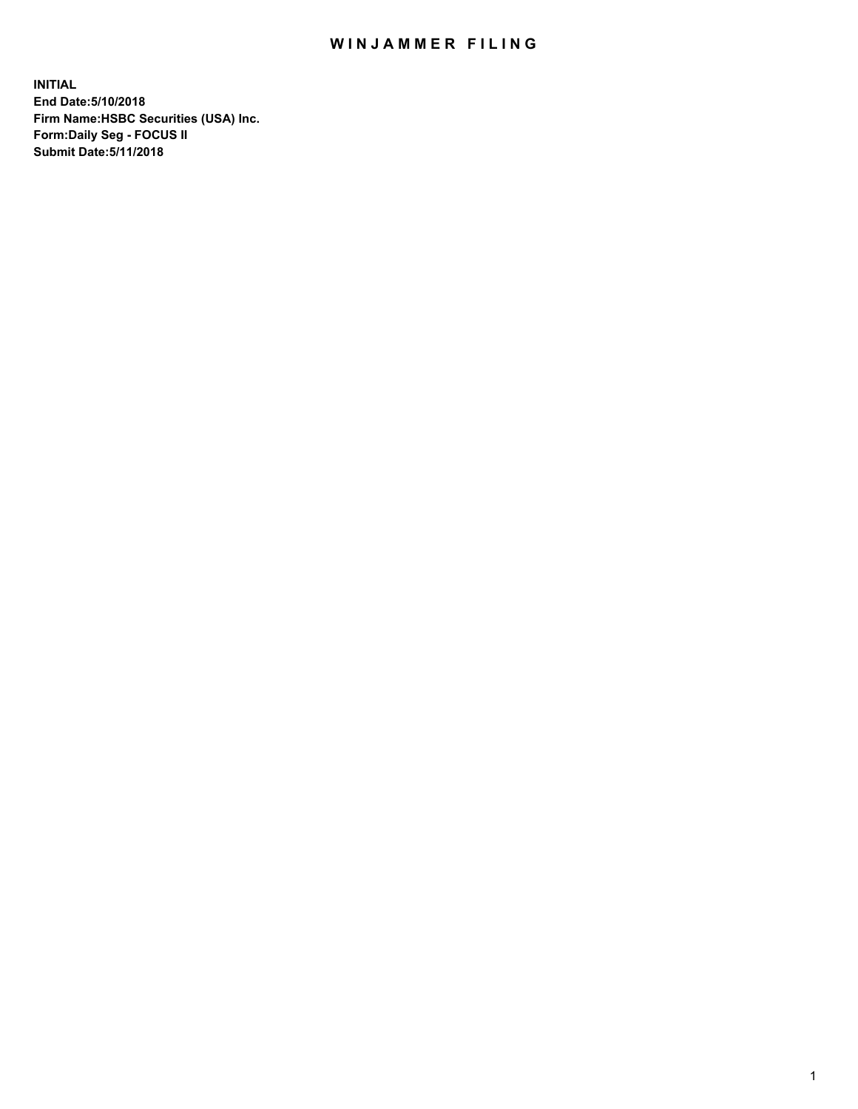## WIN JAMMER FILING

**INITIAL End Date:5/10/2018 Firm Name:HSBC Securities (USA) Inc. Form:Daily Seg - FOCUS II Submit Date:5/11/2018**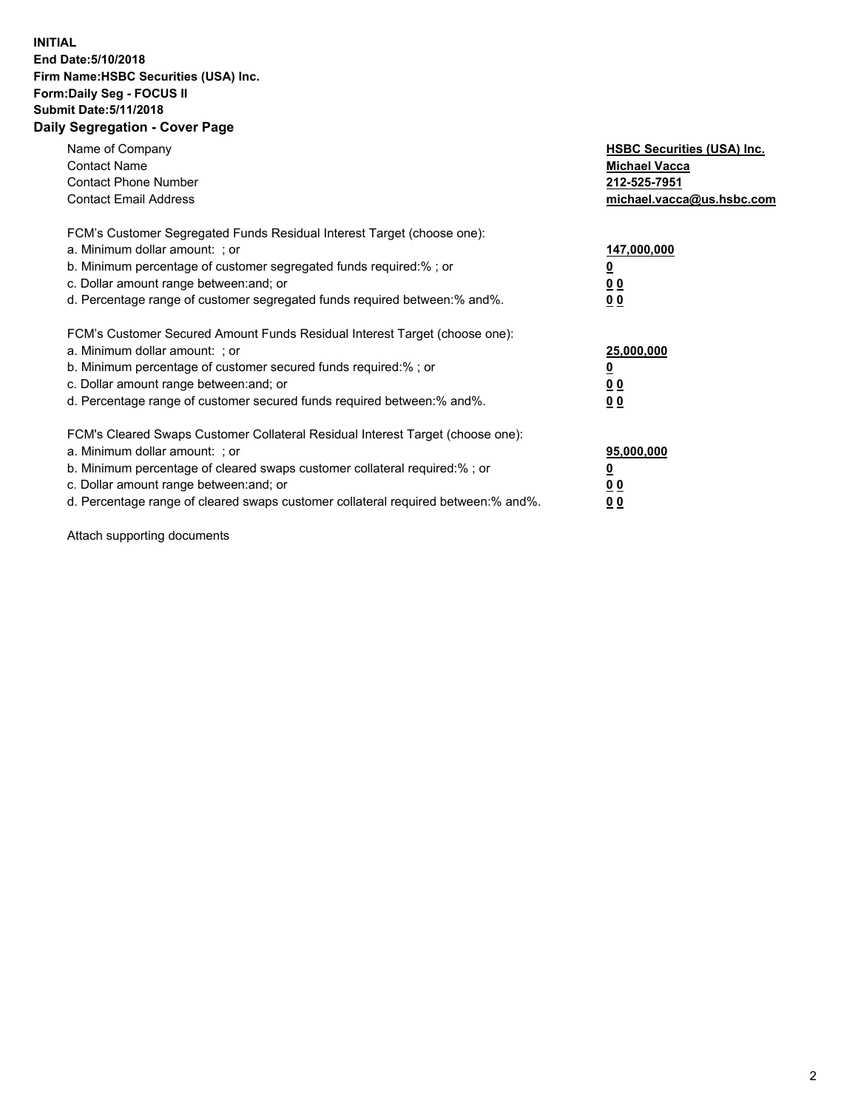## **INITIAL End Date:5/10/2018 Firm Name:HSBC Securities (USA) Inc. Form:Daily Seg - FOCUS II Submit Date:5/11/2018 Daily Segregation - Cover Page**

| Name of Company<br><b>Contact Name</b><br><b>Contact Phone Number</b><br><b>Contact Email Address</b>                                                                                                                                                                                                                         | <b>HSBC Securities (USA) Inc.</b><br><b>Michael Vacca</b><br>212-525-7951<br>michael.vacca@us.hsbc.com |
|-------------------------------------------------------------------------------------------------------------------------------------------------------------------------------------------------------------------------------------------------------------------------------------------------------------------------------|--------------------------------------------------------------------------------------------------------|
| FCM's Customer Segregated Funds Residual Interest Target (choose one):<br>a. Minimum dollar amount: ; or<br>b. Minimum percentage of customer segregated funds required:%; or<br>c. Dollar amount range between: and; or<br>d. Percentage range of customer segregated funds required between: % and %.                       | 147,000,000<br><u>0</u><br><u>00</u><br>00                                                             |
| FCM's Customer Secured Amount Funds Residual Interest Target (choose one):<br>a. Minimum dollar amount: ; or<br>b. Minimum percentage of customer secured funds required:%; or<br>c. Dollar amount range between: and; or<br>d. Percentage range of customer secured funds required between: % and %.                         | 25,000,000<br><u>0</u><br><u>00</u><br>00                                                              |
| FCM's Cleared Swaps Customer Collateral Residual Interest Target (choose one):<br>a. Minimum dollar amount: ; or<br>b. Minimum percentage of cleared swaps customer collateral required:%; or<br>c. Dollar amount range between: and; or<br>d. Percentage range of cleared swaps customer collateral required between:% and%. | 95,000,000<br><u>0</u><br><u>00</u><br><u>00</u>                                                       |

Attach supporting documents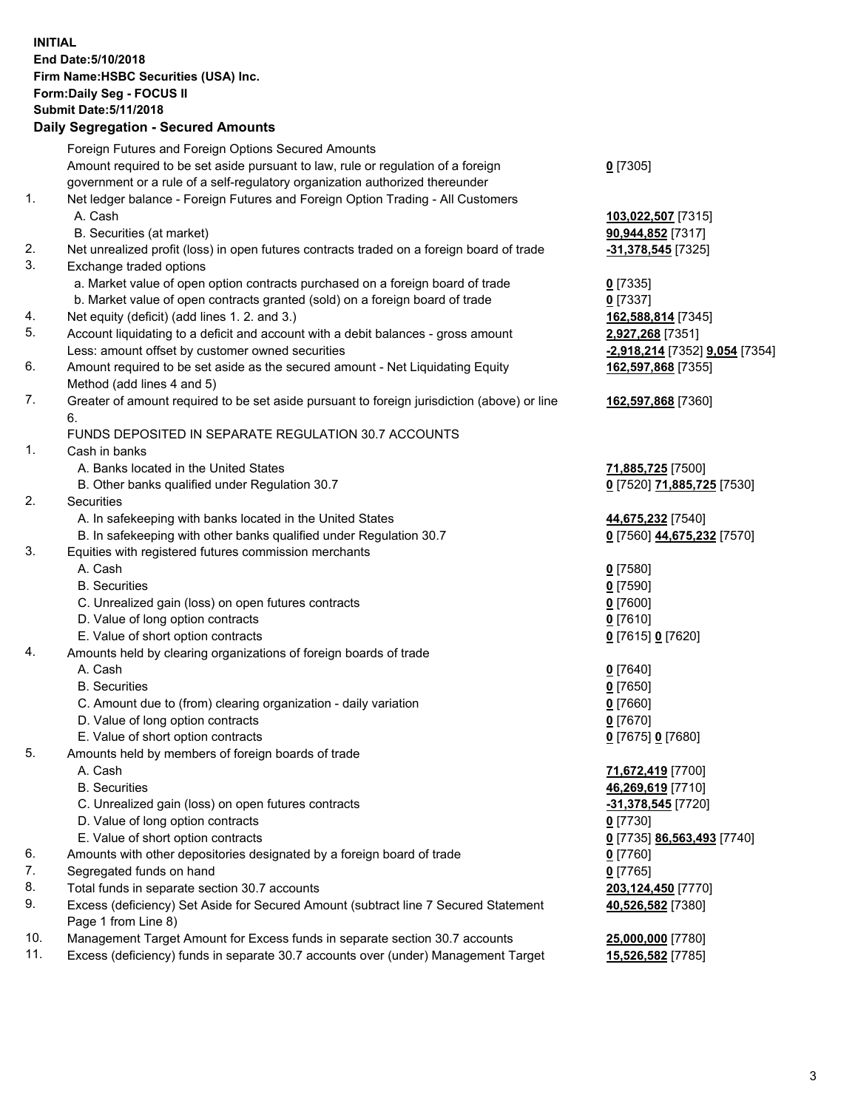**INITIAL End Date:5/10/2018 Firm Name:HSBC Securities (USA) Inc. Form:Daily Seg - FOCUS II Submit Date:5/11/2018 Daily Segregation - Secured Amounts**

Foreign Futures and Foreign Options Secured Amounts Amount required to be set aside pursuant to law, rule or regulation of a foreign government or a rule of a self-regulatory organization authorized thereunder **0** [7305] 1. Net ledger balance - Foreign Futures and Foreign Option Trading - All Customers A. Cash **103,022,507** [7315] B. Securities (at market) **90,944,852** [7317] 2. Net unrealized profit (loss) in open futures contracts traded on a foreign board of trade **-31,378,545** [7325] 3. Exchange traded options a. Market value of open option contracts purchased on a foreign board of trade **0** [7335] b. Market value of open contracts granted (sold) on a foreign board of trade **0** [7337] 4. Net equity (deficit) (add lines 1. 2. and 3.) **162,588,814** [7345] 5. Account liquidating to a deficit and account with a debit balances - gross amount **2,927,268** [7351] Less: amount offset by customer owned securities **-2,918,214** [7352] **9,054** [7354] 6. Amount required to be set aside as the secured amount - Net Liquidating Equity Method (add lines 4 and 5) **162,597,868** [7355] 7. Greater of amount required to be set aside pursuant to foreign jurisdiction (above) or line 6. **162,597,868** [7360] FUNDS DEPOSITED IN SEPARATE REGULATION 30.7 ACCOUNTS 1. Cash in banks A. Banks located in the United States **71,885,725** [7500] B. Other banks qualified under Regulation 30.7 **0** [7520] **71,885,725** [7530] 2. Securities A. In safekeeping with banks located in the United States **44,675,232** [7540] B. In safekeeping with other banks qualified under Regulation 30.7 **0** [7560] **44,675,232** [7570] 3. Equities with registered futures commission merchants A. Cash **0** [7580] B. Securities **0** [7590] C. Unrealized gain (loss) on open futures contracts **0** [7600] D. Value of long option contracts **0** [7610] E. Value of short option contracts **0** [7615] **0** [7620] 4. Amounts held by clearing organizations of foreign boards of trade A. Cash **0** [7640] B. Securities **0** [7650] C. Amount due to (from) clearing organization - daily variation **0** [7660] D. Value of long option contracts **0** [7670] E. Value of short option contracts **0** [7675] **0** [7680] 5. Amounts held by members of foreign boards of trade A. Cash **71,672,419** [7700] B. Securities **46,269,619** [7710] C. Unrealized gain (loss) on open futures contracts **-31,378,545** [7720] D. Value of long option contracts **0** [7730] E. Value of short option contracts **0** [7735] **86,563,493** [7740] 6. Amounts with other depositories designated by a foreign board of trade **0** [7760] 7. Segregated funds on hand **0** [7765] 8. Total funds in separate section 30.7 accounts **203,124,450** [7770] 9. Excess (deficiency) Set Aside for Secured Amount (subtract line 7 Secured Statement Page 1 from Line 8) **40,526,582** [7380] 10. Management Target Amount for Excess funds in separate section 30.7 accounts **25,000,000** [7780] 11. Excess (deficiency) funds in separate 30.7 accounts over (under) Management Target **15,526,582** [7785]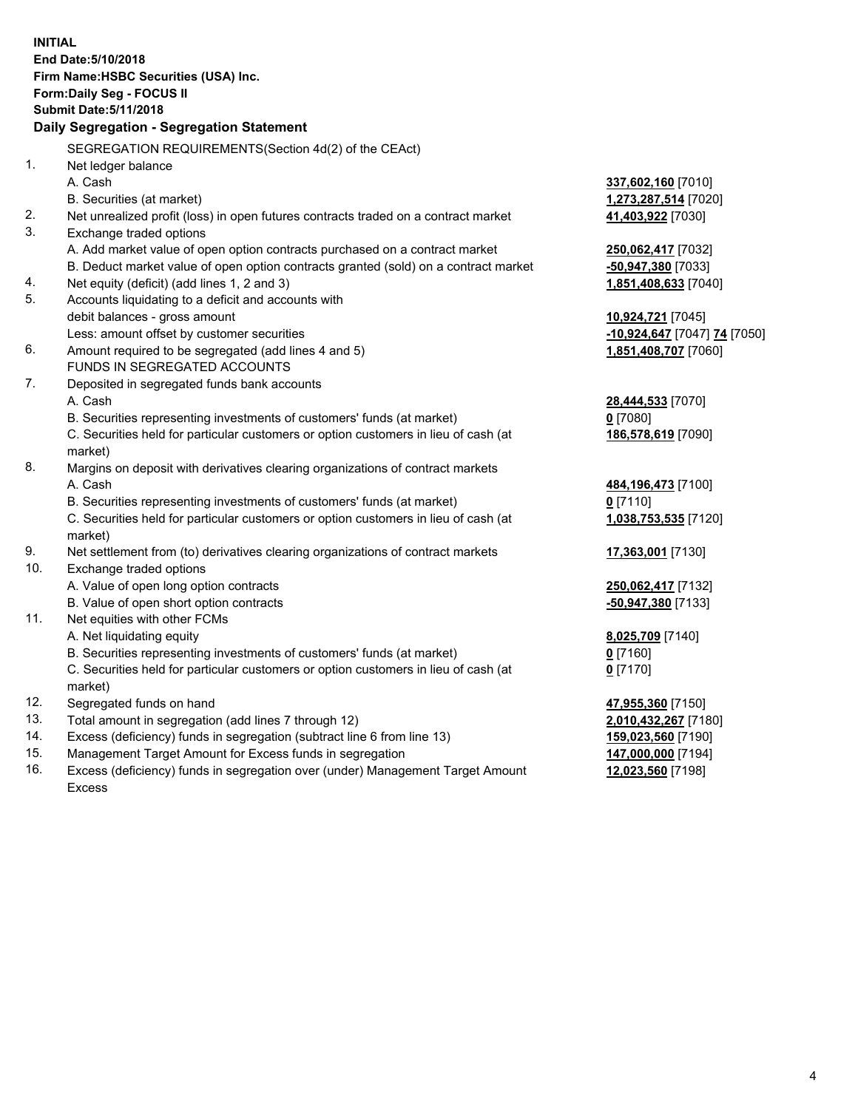**INITIAL End Date:5/10/2018 Firm Name:HSBC Securities (USA) Inc. Form:Daily Seg - FOCUS II Submit Date:5/11/2018 Daily Segregation - Segregation Statement** SEGREGATION REQUIREMENTS(Section 4d(2) of the CEAct) 1. Net ledger balance A. Cash **337,602,160** [7010] B. Securities (at market) **1,273,287,514** [7020] 2. Net unrealized profit (loss) in open futures contracts traded on a contract market **41,403,922** [7030] 3. Exchange traded options A. Add market value of open option contracts purchased on a contract market **250,062,417** [7032] B. Deduct market value of open option contracts granted (sold) on a contract market **-50,947,380** [7033] 4. Net equity (deficit) (add lines 1, 2 and 3) **1,851,408,633** [7040] 5. Accounts liquidating to a deficit and accounts with debit balances - gross amount **10,924,721** [7045] Less: amount offset by customer securities **-10,924,647** [7047] **74** [7050] 6. Amount required to be segregated (add lines 4 and 5) **1,851,408,707** [7060] FUNDS IN SEGREGATED ACCOUNTS 7. Deposited in segregated funds bank accounts A. Cash **28,444,533** [7070] B. Securities representing investments of customers' funds (at market) **0** [7080] C. Securities held for particular customers or option customers in lieu of cash (at market) **186,578,619** [7090] 8. Margins on deposit with derivatives clearing organizations of contract markets A. Cash **484,196,473** [7100] B. Securities representing investments of customers' funds (at market) **0** [7110] C. Securities held for particular customers or option customers in lieu of cash (at market) **1,038,753,535** [7120] 9. Net settlement from (to) derivatives clearing organizations of contract markets **17,363,001** [7130] 10. Exchange traded options A. Value of open long option contracts **250,062,417** [7132] B. Value of open short option contracts **-50,947,380** [7133] 11. Net equities with other FCMs A. Net liquidating equity **8,025,709** [7140] B. Securities representing investments of customers' funds (at market) **0** [7160] C. Securities held for particular customers or option customers in lieu of cash (at market) **0** [7170] 12. Segregated funds on hand **47,955,360** [7150] 13. Total amount in segregation (add lines 7 through 12) **2,010,432,267** [7180] 14. Excess (deficiency) funds in segregation (subtract line 6 from line 13) **159,023,560** [7190] 15. Management Target Amount for Excess funds in segregation **147,000,000** [7194]

16. Excess (deficiency) funds in segregation over (under) Management Target Amount Excess

**12,023,560** [7198]